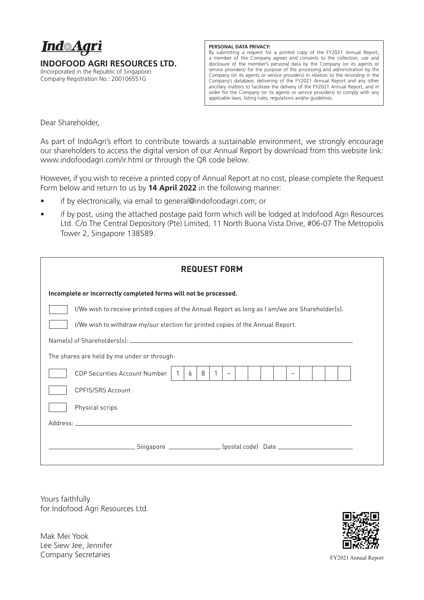

**INDOFOOD AGRI RESOURCES LTD.**

(Incorporated in the Republic of Singapore) Company Registration No.: 200106551G

## **PERSONAL DATA PRIVACY:**

By submitting a request for a printed copy of the FY2021 Annual Report, a member of the Company agrees and consents to the collection, use and disclosure of the member's personal data by the Company (or its agents or service providers) for the purpose of the processing and administration by the Company (or its agents or service providers) in relation to the recording in the Company's database, delivering of the FY2021 Annual Report and any other ancillary matters to facilitate the delivery of the FY2021 Annual Report, and in order for the Company (or its agents or service providers) to comply with any applicable laws, listing rules, regulations and/or guidelines.

Dear Shareholder,

As part of IndoAgri's effort to contribute towards a sustainable environment, we strongly encourage our shareholders to access the digital version of our Annual Report by download from this website link: www.indofoodagri.com/ir.html or through the QR code below.

However, if you wish to receive a printed copy of Annual Report at no cost, please complete the Request Form below and return to us by **14 April 2022** in the following manner:

- if by electronically, via email to general@indofoodagri.com; or
- if by post, using the attached postage paid form which will be lodged at Indofood Agri Resources Ltd. C/o The Central Depository (Pte) Limited, 11 North Buona Vista Drive, #06-07 The Metropolis Tower 2, Singapore 138589.

| <b>REQUEST FORM</b>                                                                             |
|-------------------------------------------------------------------------------------------------|
| Incomplete or incorrectly completed forms will not be processed.                                |
| I/We wish to receive printed copies of the Annual Report as long as I am/we are Shareholder(s). |
| I/We wish to withdraw my/our election for printed copies of the Annual Report.                  |
|                                                                                                 |
| The shares are held by me under or through:                                                     |
| <b>CDP Securities Account Number</b><br>8<br>6<br>$\overline{\phantom{a}}$                      |
| <b>CPFIS/SRS Account</b>                                                                        |
| Physical scrips                                                                                 |
|                                                                                                 |
| _Singapore ________________(postal code) Date __________________________________                |

Yours faithfully for Indofood Agri Resources Ltd.

Mak Mei Yook Lee Siew Jee, Jennifer Company Secretaries



FY2021 Annual Report